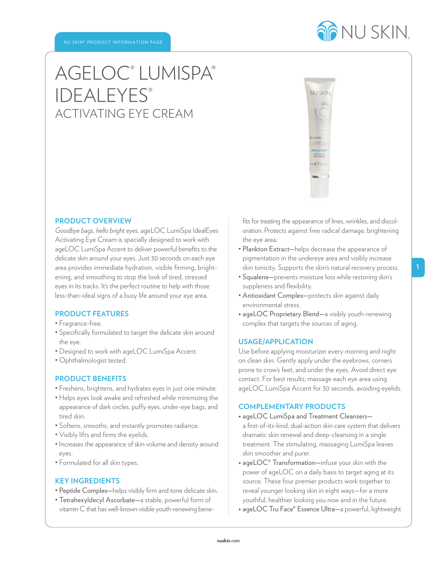

# AGELOC® LUMISPA® **IDEALEYES®** ACTIVATING EYE CREAM



#### **PRODUCT OVERVIEW**

*Goodbye bags, hello bright eyes.* ageLOC LumiSpa IdealEyes Activating Eye Cream is specially designed to work with ageLOC LumiSpa Accent to deliver powerful benefits to the delicate skin around your eyes. Just 30 seconds on each eye area provides immediate hydration, visible firming, brightening, and smoothing to stop the look of tired, stressed eyes in its tracks. It' s the perfect routine to help with those less-than-ideal signs of a busy life around your eye area.

# **PRODUCT FEATURES**

- Fragrance-free.
- Specifically formulated to target the delicate skin around the eye.
- Designed to work with ageLOC LumiSpa Accent.
- Ophthalmologist tested.

# **PRODUCT BENEFITS**

- Freshens, brightens, and hydrates eyes in just one minute.
- Helps eyes look awake and refreshed while minimizing the appearance of dark circles, puffy eyes, under-eye bags, and tired skin.
- Softens, smooths, and instantly promotes radiance.
- Visibly lifts and firms the eyelids.
- Increases the appearance of skin volume and density around eyes.
- Formulated for all skin types.

#### **KEY INGREDIENTS**

- Peptide Complex—helps visibly firm and tone delicate skin.
- Tetrahexyldecyl Ascorbate—a stable, powerful form of vitamin C that has well-known visible youth-renewing bene-

fits for treating the appearance of lines, wrinkles, and discoloration. Protects against free radical damage, brightening the eye area.

- Plankton Extract—helps decrease the appearance of pigmentation in the undereye area and visibly increase skin tonicity. Supports the skin's natural recovery process.
- Squalene—prevents moisture loss while restoring skin's suppleness and flexibility.
- Antioxidant Complex—protects skin against daily environmental stress.
- ageLOC Proprietary Blend—a visibly youth-renewing complex that targets the sources of aging.

#### **USAGE/APPLICATION**

Use before applying moisturizer every morning and night on clean skin. Gently apply under the eyebrows, corners prone to crow's feet, and under the eyes. Avoid direct eye contact. For best results, massage each eye area using ageLOC LumiSpa Accent for 30 seconds, avoiding eyelids.

#### **COMPLEMENTARY PRODUCTS**

- ageLOC LumiSpa and Treatment Cleansers a first-of-its-kind, dual-action skin care system that delivers dramatic skin renewal and deep-cleansing in a single treatment. The stimulating, massaging LumiSpa leaves skin smoother and purer.
- ageLOC® Transformation—infuse your skin with the power of ageLOC on a daily basis to target aging at its source. These four premier products work together to reveal younger looking skin in eight ways—for a more youthful, healthier looking you now and in the future.
- ageLOC Tru Face® Essence Ultra—a powerful, lightweight